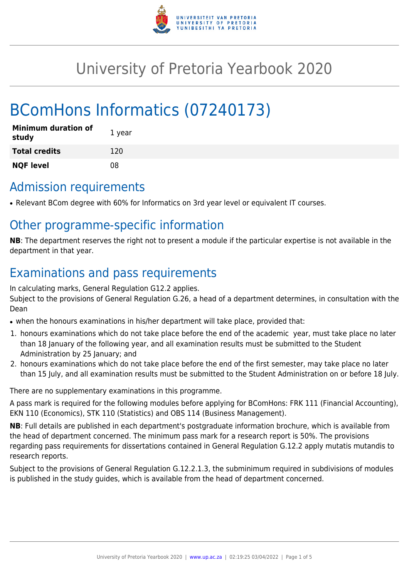

# University of Pretoria Yearbook 2020

# BComHons Informatics (07240173)

| <b>Minimum duration of</b><br>study | 1 year |
|-------------------------------------|--------|
| <b>Total credits</b>                | 120    |
| <b>NQF level</b>                    | 08     |

### Admission requirements

• Relevant BCom degree with 60% for Informatics on 3rd year level or equivalent IT courses.

## Other programme-specific information

**NB**: The department reserves the right not to present a module if the particular expertise is not available in the department in that year.

## Examinations and pass requirements

In calculating marks, General Regulation G12.2 applies.

Subject to the provisions of General Regulation G.26, a head of a department determines, in consultation with the Dean

- when the honours examinations in his/her department will take place, provided that:
- 1. honours examinations which do not take place before the end of the academic year, must take place no later than 18 January of the following year, and all examination results must be submitted to the Student Administration by 25 January; and
- 2. honours examinations which do not take place before the end of the first semester, may take place no later than 15 July, and all examination results must be submitted to the Student Administration on or before 18 July.

There are no supplementary examinations in this programme.

A pass mark is required for the following modules before applying for BComHons: FRK 111 (Financial Accounting), EKN 110 (Economics), STK 110 (Statistics) and OBS 114 (Business Management).

**NB**: Full details are published in each department's postgraduate information brochure, which is available from the head of department concerned. The minimum pass mark for a research report is 50%. The provisions regarding pass requirements for dissertations contained in General Regulation G.12.2 apply mutatis mutandis to research reports.

Subject to the provisions of General Regulation G.12.2.1.3, the subminimum required in subdivisions of modules is published in the study guides, which is available from the head of department concerned.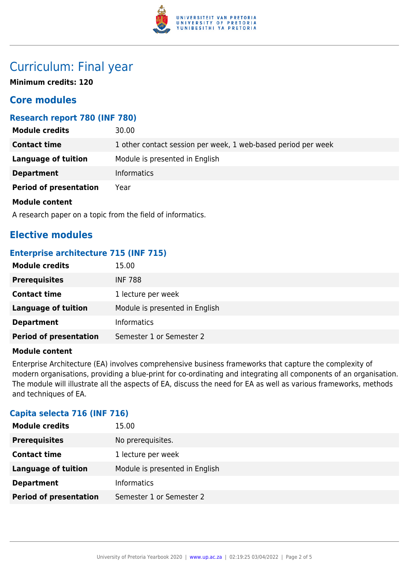

### Curriculum: Final year

**Minimum credits: 120**

### **Core modules**

#### **Research report 780 (INF 780)**

| <b>Module credits</b>         | 30.00                                                         |
|-------------------------------|---------------------------------------------------------------|
| <b>Contact time</b>           | 1 other contact session per week, 1 web-based period per week |
| Language of tuition           | Module is presented in English                                |
| <b>Department</b>             | <b>Informatics</b>                                            |
| <b>Period of presentation</b> | Year                                                          |
| Module content                |                                                               |

A research paper on a topic from the field of informatics.

### **Elective modules**

#### **Enterprise architecture 715 (INF 715)**

| <b>Module credits</b>         | 15.00                          |
|-------------------------------|--------------------------------|
| <b>Prerequisites</b>          | <b>INF 788</b>                 |
| <b>Contact time</b>           | 1 lecture per week             |
| Language of tuition           | Module is presented in English |
| <b>Department</b>             | <b>Informatics</b>             |
| <b>Period of presentation</b> | Semester 1 or Semester 2       |

#### **Module content**

Enterprise Architecture (EA) involves comprehensive business frameworks that capture the complexity of modern organisations, providing a blue-print for co-ordinating and integrating all components of an organisation. The module will illustrate all the aspects of EA, discuss the need for EA as well as various frameworks, methods and techniques of EA.

#### **Capita selecta 716 (INF 716)**

| <b>Module credits</b>         | 15.00                          |
|-------------------------------|--------------------------------|
| <b>Prerequisites</b>          | No prerequisites.              |
| <b>Contact time</b>           | 1 lecture per week             |
| <b>Language of tuition</b>    | Module is presented in English |
| <b>Department</b>             | <b>Informatics</b>             |
| <b>Period of presentation</b> | Semester 1 or Semester 2       |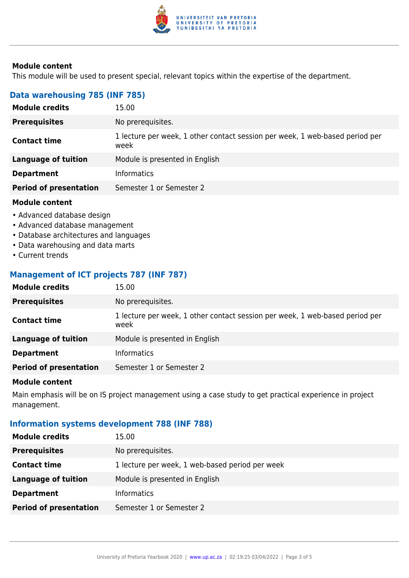

#### **Module content**

This module will be used to present special, relevant topics within the expertise of the department.

#### **Data warehousing 785 (INF 785)**

| <b>Module credits</b>         | 15.00                                                                                |
|-------------------------------|--------------------------------------------------------------------------------------|
| <b>Prerequisites</b>          | No prerequisites.                                                                    |
| <b>Contact time</b>           | 1 lecture per week, 1 other contact session per week, 1 web-based period per<br>week |
| <b>Language of tuition</b>    | Module is presented in English                                                       |
| <b>Department</b>             | <b>Informatics</b>                                                                   |
| <b>Period of presentation</b> | Semester 1 or Semester 2                                                             |

#### **Module content**

- Advanced database design
- Advanced database management
- Database architectures and languages
- Data warehousing and data marts
- Current trends

#### **Management of ICT projects 787 (INF 787)**

| <b>Module credits</b>         | 15.00                                                                                |
|-------------------------------|--------------------------------------------------------------------------------------|
| <b>Prerequisites</b>          | No prerequisites.                                                                    |
| <b>Contact time</b>           | 1 lecture per week, 1 other contact session per week, 1 web-based period per<br>week |
| <b>Language of tuition</b>    | Module is presented in English                                                       |
| <b>Department</b>             | <b>Informatics</b>                                                                   |
| <b>Period of presentation</b> | Semester 1 or Semester 2                                                             |
|                               |                                                                                      |

#### **Module content**

Main emphasis will be on IS project management using a case study to get practical experience in project management.

#### **Information systems development 788 (INF 788)**

| <b>Module credits</b>         | 15.00                                           |
|-------------------------------|-------------------------------------------------|
| <b>Prerequisites</b>          | No prerequisites.                               |
| <b>Contact time</b>           | 1 lecture per week, 1 web-based period per week |
| <b>Language of tuition</b>    | Module is presented in English                  |
| <b>Department</b>             | <b>Informatics</b>                              |
| <b>Period of presentation</b> | Semester 1 or Semester 2                        |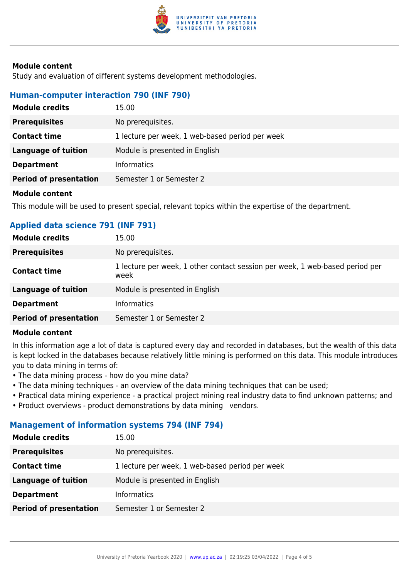

#### **Module content**

Study and evaluation of different systems development methodologies.

#### **Human-computer interaction 790 (INF 790)**

| <b>Module credits</b>         | 15.00                                           |
|-------------------------------|-------------------------------------------------|
| <b>Prerequisites</b>          | No prerequisites.                               |
| <b>Contact time</b>           | 1 lecture per week, 1 web-based period per week |
| Language of tuition           | Module is presented in English                  |
| <b>Department</b>             | <b>Informatics</b>                              |
| <b>Period of presentation</b> | Semester 1 or Semester 2                        |
|                               |                                                 |

#### **Module content**

This module will be used to present special, relevant topics within the expertise of the department.

#### **Applied data science 791 (INF 791)**

| <b>Module credits</b>         | 15.00                                                                                |
|-------------------------------|--------------------------------------------------------------------------------------|
| <b>Prerequisites</b>          | No prerequisites.                                                                    |
| <b>Contact time</b>           | 1 lecture per week, 1 other contact session per week, 1 web-based period per<br>week |
| <b>Language of tuition</b>    | Module is presented in English                                                       |
| <b>Department</b>             | <b>Informatics</b>                                                                   |
| <b>Period of presentation</b> | Semester 1 or Semester 2                                                             |

#### **Module content**

In this information age a lot of data is captured every day and recorded in databases, but the wealth of this data is kept locked in the databases because relatively little mining is performed on this data. This module introduces you to data mining in terms of:

- The data mining process how do you mine data?
- The data mining techniques an overview of the data mining techniques that can be used;
- Practical data mining experience a practical project mining real industry data to find unknown patterns; and
- Product overviews product demonstrations by data mining vendors.

#### **Management of information systems 794 (INF 794)**

| <b>Module credits</b>         | 15.00                                           |
|-------------------------------|-------------------------------------------------|
| <b>Prerequisites</b>          | No prerequisites.                               |
| <b>Contact time</b>           | 1 lecture per week, 1 web-based period per week |
| <b>Language of tuition</b>    | Module is presented in English                  |
| <b>Department</b>             | <b>Informatics</b>                              |
| <b>Period of presentation</b> | Semester 1 or Semester 2                        |